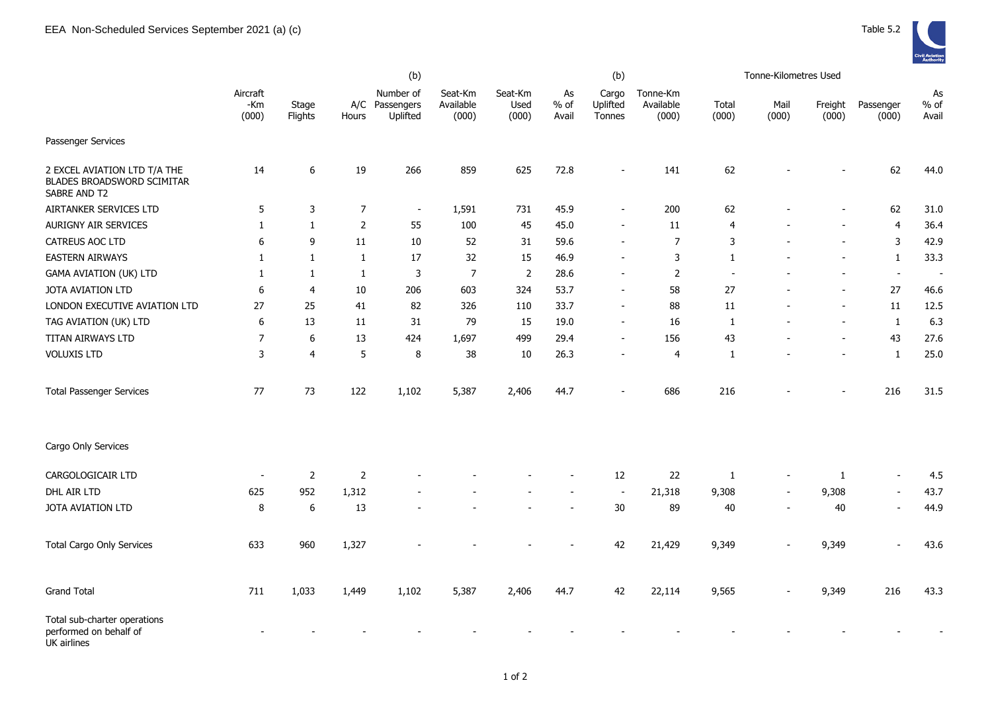

|                                                                            | (b)                      |                  |                |                                     |                               |                          |                       | (b)                         |                                |                          | Tonne-Kilometres Used |                          |                          |                       |
|----------------------------------------------------------------------------|--------------------------|------------------|----------------|-------------------------------------|-------------------------------|--------------------------|-----------------------|-----------------------------|--------------------------------|--------------------------|-----------------------|--------------------------|--------------------------|-----------------------|
|                                                                            | Aircraft<br>-Km<br>(000) | Stage<br>Flights | A/C<br>Hours   | Number of<br>Passengers<br>Uplifted | Seat-Km<br>Available<br>(000) | Seat-Km<br>Used<br>(000) | As<br>$%$ of<br>Avail | Cargo<br>Uplifted<br>Tonnes | Tonne-Km<br>Available<br>(000) | Total<br>(000)           | Mail<br>(000)         | Freight<br>(000)         | Passenger<br>(000)       | As<br>$%$ of<br>Avail |
| Passenger Services                                                         |                          |                  |                |                                     |                               |                          |                       |                             |                                |                          |                       |                          |                          |                       |
| 2 EXCEL AVIATION LTD T/A THE<br>BLADES BROADSWORD SCIMITAR<br>SABRE AND T2 | 14                       | 6                | 19             | 266                                 | 859                           | 625                      | 72.8                  |                             | 141                            | 62                       |                       |                          | 62                       | 44.0                  |
| AIRTANKER SERVICES LTD                                                     | 5                        | $\mathsf 3$      | $\overline{7}$ | $\overline{\phantom{a}}$            | 1,591                         | 731                      | 45.9                  |                             | 200                            | 62                       |                       |                          | 62                       | 31.0                  |
| AURIGNY AIR SERVICES                                                       | 1                        | 1                | $\overline{2}$ | 55                                  | 100                           | 45                       | 45.0                  |                             | 11                             | 4                        |                       |                          | 4                        | 36.4                  |
| CATREUS AOC LTD                                                            | 6                        | 9                | 11             | 10                                  | 52                            | 31                       | 59.6                  |                             | $\overline{7}$                 | 3                        |                       |                          | 3                        | 42.9                  |
| <b>EASTERN AIRWAYS</b>                                                     | 1                        | 1                | 1              | 17                                  | 32                            | 15                       | 46.9                  |                             | 3                              | $\mathbf{1}$             |                       |                          | $\mathbf{1}$             | 33.3                  |
| <b>GAMA AVIATION (UK) LTD</b>                                              | 1                        | -1               | $\mathbf{1}$   | 3                                   | $\overline{7}$                | $\overline{2}$           | 28.6                  |                             | $\overline{2}$                 | $\overline{\phantom{a}}$ |                       |                          | $\blacksquare$           | $\sim$                |
| JOTA AVIATION LTD                                                          | 6                        | $\overline{4}$   | 10             | 206                                 | 603                           | 324                      | 53.7                  |                             | 58                             | 27                       |                       |                          | 27                       | 46.6                  |
| LONDON EXECUTIVE AVIATION LTD                                              | 27                       | 25               | 41             | 82                                  | 326                           | 110                      | 33.7                  |                             | 88                             | 11                       |                       | $\overline{\phantom{a}}$ | $11\,$                   | 12.5                  |
| TAG AVIATION (UK) LTD                                                      | 6                        | 13               | 11             | 31                                  | 79                            | 15                       | 19.0                  |                             | 16                             | 1                        |                       | $\blacksquare$           | $\mathbf{1}$             | 6.3                   |
| TITAN AIRWAYS LTD                                                          | $\overline{7}$           | 6                | 13             | 424                                 | 1,697                         | 499                      | 29.4                  |                             | 156                            | 43                       |                       |                          | 43                       | 27.6                  |
| <b>VOLUXIS LTD</b>                                                         | 3                        | $\overline{4}$   | 5              | 8                                   | 38                            | 10                       | 26.3                  |                             | 4                              | 1                        |                       |                          | $\mathbf{1}$             | 25.0                  |
| <b>Total Passenger Services</b>                                            | 77                       | 73               | 122            | 1,102                               | 5,387                         | 2,406                    | 44.7                  |                             | 686                            | 216                      |                       |                          | 216                      | 31.5                  |
| Cargo Only Services                                                        |                          |                  |                |                                     |                               |                          |                       |                             |                                |                          |                       |                          |                          |                       |
| CARGOLOGICAIR LTD                                                          |                          | 2                | $\mathsf{2}$   |                                     |                               |                          |                       | 12                          | 22                             | 1                        |                       | 1                        |                          | 4.5                   |
| DHL AIR LTD                                                                | 625                      | 952              | 1,312          |                                     |                               |                          |                       | $\overline{\phantom{a}}$    | 21,318                         | 9,308                    |                       | 9,308                    | $\overline{\phantom{a}}$ | 43.7                  |
| JOTA AVIATION LTD                                                          | 8                        | 6                | 13             |                                     |                               |                          |                       | $30\,$                      | 89                             | 40                       | $\blacksquare$        | 40                       | $\sim$                   | 44.9                  |
| <b>Total Cargo Only Services</b>                                           | 633                      | 960              | 1,327          |                                     |                               |                          |                       | 42                          | 21,429                         | 9,349                    |                       | 9,349                    | $\overline{a}$           | 43.6                  |
| <b>Grand Total</b>                                                         | 711                      | 1,033            | 1,449          | 1,102                               | 5,387                         | 2,406                    | 44.7                  | 42                          | 22,114                         | 9,565                    |                       | 9,349                    | 216                      | 43.3                  |
| Total sub-charter operations<br>performed on behalf of<br>UK airlines      |                          |                  |                |                                     |                               |                          |                       |                             |                                |                          |                       |                          |                          |                       |